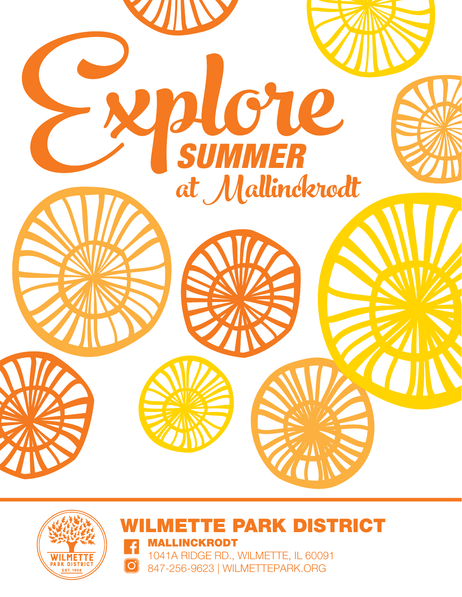





PARK DISTRICT MALLINCKRODT

1041A RIDGE RD., WILMETTE, IL 60091 847-256-9623 | WILMETTEPARK.ORG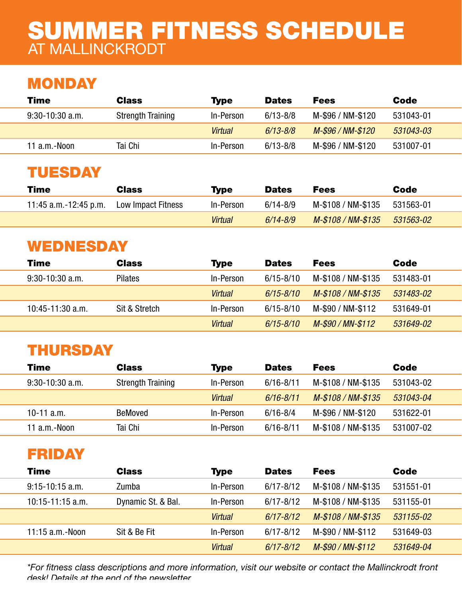# SUMMER FITNESS SCHEDULE AT MALLINCKRODT

# **MONDAY**

| Time              | <b>Class</b>             | <b>Type</b> | <b>Dates</b> | <b>Fees</b>       | Code      |
|-------------------|--------------------------|-------------|--------------|-------------------|-----------|
| $9:30-10:30$ a.m. | <b>Strength Training</b> | In-Person   | $6/13 - 8/8$ | M-\$96 / NM-\$120 | 531043-01 |
|                   |                          | Virtual     | $6/13 - 8/8$ | M-\$96 / NM-\$120 | 531043-03 |
| 11 $a.m.-Noon$    | Tai Chi                  | In-Person   | $6/13 - 8/8$ | M-\$96 / NM-\$120 | 531007-01 |
|                   |                          |             |              |                   |           |

# TUESDAY

| Time                   | <b>Class</b>       | <b>Type</b> | <b>Dates</b> | <b>Fees</b>                  | Code      |
|------------------------|--------------------|-------------|--------------|------------------------------|-----------|
| 11:45 a.m. -12:45 p.m. | Low Impact Fitness | In-Person   | $6/14 - 8/9$ | M-\$108 / NM-\$135 531563-01 |           |
|                        |                    | Virtual     | $6/14 - 8/9$ | M-\$108 / NM-\$135           | 531563-02 |

# WEDNESDAY

| Time                | <b>Class</b>   | <b>Type</b>    | <b>Dates</b>  | <b>Fees</b>        | Code      |
|---------------------|----------------|----------------|---------------|--------------------|-----------|
| $9:30 - 10:30$ a.m. | <b>Pilates</b> | In-Person      | $6/15 - 8/10$ | M-\$108 / NM-\$135 | 531483-01 |
|                     |                | <b>Virtual</b> | $6/15 - 8/10$ | M-\$108 / NM-\$135 | 531483-02 |
| 10:45-11:30 a.m.    | Sit & Stretch  | In-Person      | $6/15 - 8/10$ | M-\$90 / NM-\$112  | 531649-01 |
|                     |                | <b>Virtual</b> | $6/15 - 8/10$ | M-\$90 / MN-\$112  | 531649-02 |

# THURSDAY

| <b>Time</b>         | <b>Class</b>             | <b>Type</b>    | <b>Dates</b>  | <b>Fees</b>        | Code      |
|---------------------|--------------------------|----------------|---------------|--------------------|-----------|
| $9:30 - 10:30$ a.m. | <b>Strength Training</b> | In-Person      | $6/16 - 8/11$ | M-\$108 / NM-\$135 | 531043-02 |
|                     |                          | <b>Virtual</b> | $6/16 - 8/11$ | M-\$108 / NM-\$135 | 531043-04 |
| 10-11 $a.m.$        | <b>BeMoved</b>           | In-Person      | $6/16 - 8/4$  | M-\$96 / NM-\$120  | 531622-01 |
| 11 a.m.-Noon        | Tai Chi                  | In-Person      | $6/16 - 8/11$ | M-\$108 / NM-\$135 | 531007-02 |

# FRIDAY

| <b>Time</b>          | <b>Class</b>       | <b>Type</b>    | <b>Dates</b>  | <b>Fees</b>        | <b>Code</b> |
|----------------------|--------------------|----------------|---------------|--------------------|-------------|
| $9:15-10:15$ a.m.    | Zumba              | In-Person      | $6/17 - 8/12$ | M-\$108 / NM-\$135 | 531551-01   |
| $10:15 - 11:15$ a.m. | Dynamic St. & Bal. | In-Person      | $6/17 - 8/12$ | M-\$108 / NM-\$135 | 531155-01   |
|                      |                    | <b>Virtual</b> | $6/17 - 8/12$ | M-\$108 / NM-\$135 | 531155-02   |
| $11:15$ a.m. - Noon  | Sit & Be Fit       | In-Person      | $6/17 - 8/12$ | M-\$90 / NM-\$112  | 531649-03   |
|                      |                    | <b>Virtual</b> | $6/17 - 8/12$ | M-\$90 / MN-\$112  | 531649-04   |

*\*For fitness class descriptions and more information, visit our website or contact the Mallinckrodt front desk! Details at the end of the newsletter.*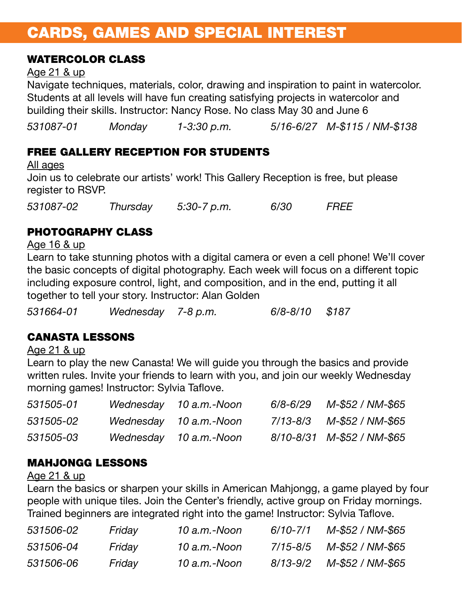# CARDS, GAMES AND SPECIAL INTEREST

### WATERCOLOR CLASS

#### Age 21 & up

Navigate techniques, materials, color, drawing and inspiration to paint in watercolor. Students at all levels will have fun creating satisfying projects in watercolor and building their skills. Instructor: Nancy Rose. No class May 30 and June 6

*531087-01 Monday 1-3:30 p.m. 5/16-6/27 M-\$115 / NM-\$138*

## FREE GALLERY RECEPTION FOR STUDENTS

All ages Join us to celebrate our artists' work! This Gallery Reception is free, but please register to RSVP.

*531087-02 Thursday 5:30-7 p.m. 6/30 FREE*

## PHOTOGRAPHY CLASS

Age 16 & up

Learn to take stunning photos with a digital camera or even a cell phone! We'll cover the basic concepts of digital photography. Each week will focus on a different topic including exposure control, light, and composition, and in the end, putting it all together to tell your story. Instructor: Alan Golden

*531664-01 Wednesday 7-8 p.m. 6/8-8/10 \$187*

## CANASTA LESSONS

Age 21 & up

Learn to play the new Canasta! We will guide you through the basics and provide written rules. Invite your friends to learn with you, and join our weekly Wednesday morning games! Instructor: Sylvia Taflove.

| 531505-01 | Wednesday 10 a.m.-Noon | $6/8 - 6/29$ | M-\$52 / NM-\$65           |
|-----------|------------------------|--------------|----------------------------|
| 531505-02 | Wednesday 10 a.m.-Noon |              |                            |
| 531505-03 | Wednesday 10 a.m.-Noon |              | 8/10-8/31 M-\$52 / NM-\$65 |

## MAHJONGG LESSONS

Age 21 & up

Learn the basics or sharpen your skills in American Mahjongg, a game played by four people with unique tiles. Join the Center's friendly, active group on Friday mornings. Trained beginners are integrated right into the game! Instructor: Sylvia Taflove.

| 531506-02 | Friday | 10 a.m.-Noon | $6/10 - 7/1$ | M-\$52 / NM-\$65 |
|-----------|--------|--------------|--------------|------------------|
| 531506-04 | Friday | 10 a.m.-Noon | 7/15-8/5     | M-\$52 / NM-\$65 |
| 531506-06 | Friday | 10 a.m.-Noon | 8/13-9/2     | M-\$52 / NM-\$65 |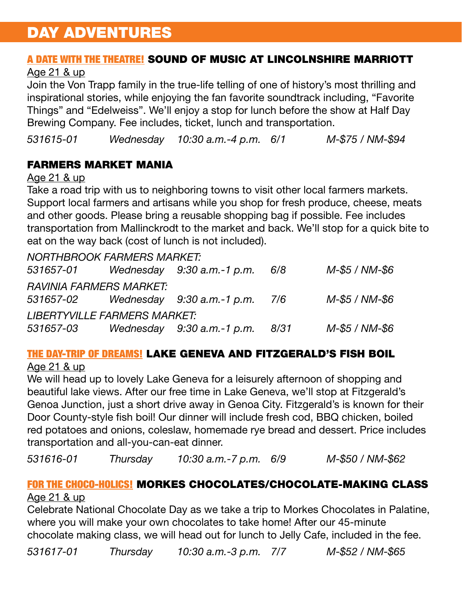# DAY ADVENTURES

### A DATE WITH THE THEATRE! SOUND OF MUSIC AT LINCOLNSHIRE MARRIOTT

#### Age 21 & up

Join the Von Trapp family in the true-life telling of one of history's most thrilling and inspirational stories, while enjoying the fan favorite soundtrack including, "Favorite Things" and "Edelweiss". We'll enjoy a stop for lunch before the show at Half Day Brewing Company. Fee includes, ticket, lunch and transportation.

*531615-01 Wednesday 10:30 a.m.-4 p.m. 6/1 M-\$75 / NM-\$94*

### FARMERS MARKET MANIA

#### Age 21 & up

Take a road trip with us to neighboring towns to visit other local farmers markets. Support local farmers and artisans while you shop for fresh produce, cheese, meats and other goods. Please bring a reusable shopping bag if possible. Fee includes transportation from Mallinckrodt to the market and back. We'll stop for a quick bite to eat on the way back (cost of lunch is not included).

|           | NORTHBROOK FARMERS MARKET:          |                                    |      |                |
|-----------|-------------------------------------|------------------------------------|------|----------------|
| 531657-01 |                                     | Wednesday $9:30$ a.m.-1 p.m.       | 6/8  | M-\$5 / NM-\$6 |
|           | <b>RAVINIA FARMERS MARKET:</b>      |                                    |      |                |
| 531657-02 |                                     | Wednesday $9:30$ a.m.-1 p.m. $7/6$ |      | M-\$5 / NM-\$6 |
|           | <b>LIBERTYVILLE FARMERS MARKET:</b> |                                    |      |                |
| 531657-03 |                                     | Wednesday $9:30$ a.m.-1 p.m.       | 8/31 | M-\$5 / NM-\$6 |

# THE DAY-TRIP OF DREAMS! LAKE GENEVA AND FITZGERALD'S FISH BOIL

Age 21 & up

We will head up to lovely Lake Geneva for a leisurely afternoon of shopping and beautiful lake views. After our free time in Lake Geneva, we'll stop at Fitzgerald's Genoa Junction, just a short drive away in Genoa City. Fitzgerald's is known for their Door County-style fish boil! Our dinner will include fresh cod, BBQ chicken, boiled red potatoes and onions, coleslaw, homemade rye bread and dessert. Price includes transportation and all-you-can-eat dinner.

*531616-01 Thursday 10:30 a.m.-7 p.m. 6/9 M-\$50 / NM-\$62*

# FOR THE CHOCO-HOLICS! MORKES CHOCOLATES/CHOCOLATE-MAKING CLASS

#### Age 21 & up

Celebrate National Chocolate Day as we take a trip to Morkes Chocolates in Palatine, where you will make your own chocolates to take home! After our 45-minute chocolate making class, we will head out for lunch to Jelly Cafe, included in the fee.

*531617-01 Thursday 10:30 a.m.-3 p.m. 7/7 M-\$52 / NM-\$65*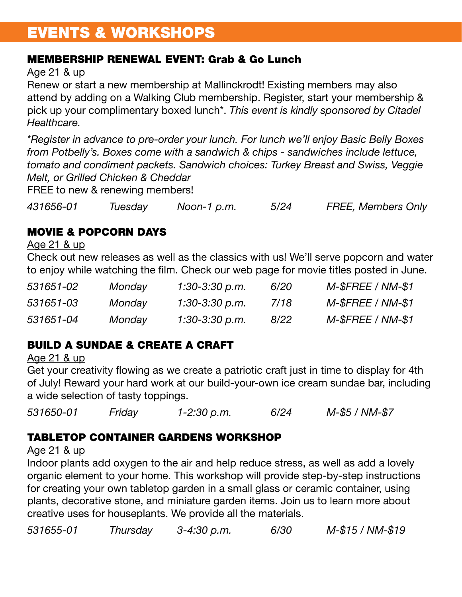# EVENTS & WORKSHOPS

### MEMBERSHIP RENEWAL EVENT: Grab & Go Lunch

Age 21 & up

Renew or start a new membership at Mallinckrodt! Existing members may also attend by adding on a Walking Club membership. Register, start your membership & pick up your complimentary boxed lunch\*. *This event is kindly sponsored by Citadel Healthcare.*

*\*Register in advance to pre-order your lunch. For lunch we'll enjoy Basic Belly Boxes from Potbelly's. Boxes come with a sandwich & chips - sandwiches include lettuce, tomato and condiment packets. Sandwich choices: Turkey Breast and Swiss, Veggie Melt, or Grilled Chicken & Cheddar*

FREE to new & renewing members!

*431656-01 Tuesday Noon-1 p.m. 5/24 FREE, Members Only* 

## MOVIE & POPCORN DAYS

Age 21 & up

Check out new releases as well as the classics with us! We'll serve popcorn and water to enjoy while watching the film. Check our web page for movie titles posted in June.

| 531651-02 | Monday | 1:30-3:30 p.m. | <i>6/20</i> | $M$ - $S$ FREE / NM- $$1$ |
|-----------|--------|----------------|-------------|---------------------------|
| 531651-03 | Monday | 1:30-3:30 p.m. | 7/18        | $M$ - $S$ FREE / NM- $$1$ |
| 531651-04 | Monday | 1:30-3:30 p.m. | 8/22        | $M$ - $$FREE / NM$ - $$1$ |

# BUILD A SUNDAE & CREATE A CRAFT

Age 21 & up

Get your creativity flowing as we create a patriotic craft just in time to display for 4th of July! Reward your hard work at our build-your-own ice cream sundae bar, including a wide selection of tasty toppings.

*531650-01 Friday 1-2:30 p.m. 6/24 M-\$5 / NM-\$7*

## TABLETOP CONTAINER GARDENS WORKSHOP

### Age 21 & up

Indoor plants add oxygen to the air and help reduce stress, as well as add a lovely organic element to your home. This workshop will provide step-by-step instructions for creating your own tabletop garden in a small glass or ceramic container, using plants, decorative stone, and miniature garden items. Join us to learn more about creative uses for houseplants. We provide all the materials.

*531655-01 Thursday 3-4:30 p.m. 6/30 M-\$15 / NM-\$19*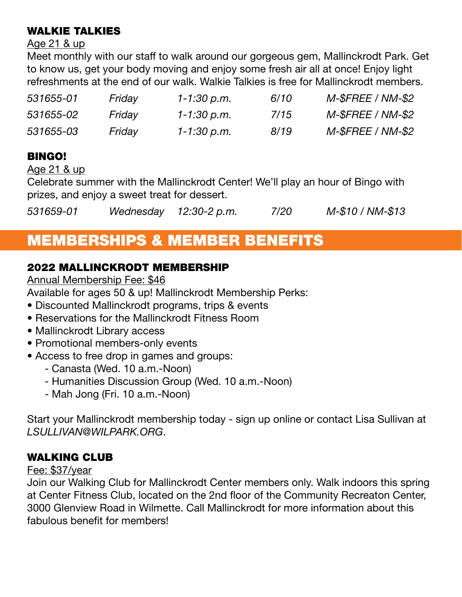### WALKIE TALKIES

#### Age 21 & up

Meet monthly with our staff to walk around our gorgeous gem, Mallinckrodt Park. Get to know us, get your body moving and enjoy some fresh air all at once! Enjoy light refreshments at the end of our walk. Walkie Talkies is free for Mallinckrodt members.

| 531655-01 | Friday | 1-1:30 p.m. | 6/10 | $M$ - $$FREE / NM$ - $$2$ |
|-----------|--------|-------------|------|---------------------------|
| 531655-02 | Friday | 1-1:30 p.m. | 7/15 | $M$ - $$FREE / NM$ - $$2$ |
| 531655-03 | Friday | 1-1:30 p.m. | 8/19 | $M$ -\$FREE / NM-\$2      |

## BINGO!

Age 21 & up

Celebrate summer with the Mallinckrodt Center! We'll play an hour of Bingo with prizes, and enjoy a sweet treat for dessert.

*531659-01 Wednesday 12:30-2 p.m. 7/20 M-\$10 / NM-\$13*

# MEMBERSHIPS & MEMBER BENEFITS

### 2022 MALLINCKRODT MEMBERSHIP

Annual Membership Fee: \$46

Available for ages 50 & up! Mallinckrodt Membership Perks:

- Discounted Mallinckrodt programs, trips & events
- Reservations for the Mallinckrodt Fitness Room
- Mallinckrodt Library access
- Promotional members-only events
- Access to free drop in games and groups:
	- Canasta (Wed. 10 a.m.-Noon)
	- Humanities Discussion Group (Wed. 10 a.m.-Noon)
	- Mah Jong (Fri. 10 a.m.-Noon)

Start your Mallinckrodt membership today - sign up online or contact Lisa Sullivan at *LSULLIVAN@WILPARK.ORG*.

## WALKING CLUB

#### Fee: \$37/year

Join our Walking Club for Mallinckrodt Center members only. Walk indoors this spring at Center Fitness Club, located on the 2nd floor of the Community Recreaton Center, 3000 Glenview Road in Wilmette. Call Mallinckrodt for more information about this fabulous benefit for members!